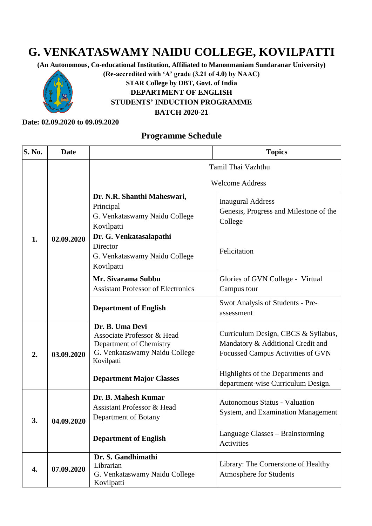## **G. VENKATASWAMY NAIDU COLLEGE, KOVILPATTI**

**(An Autonomous, Co-educational Institution, Affiliated to Manonmaniam Sundaranar University)** 

**(Re-accredited with 'A' grade (3.21 of 4.0) by NAAC)**



## **STAR College by DBT, Govt. of India DEPARTMENT OF ENGLISH STUDENTS' INDUCTION PROGRAMME BATCH 2020-21**

## **Date: 02.09.2020 to 09.09.2020**

## **Programme Schedule**

| <b>S. No.</b> | <b>Date</b> |                                                                                                                         | <b>Topics</b>                                                                                                 |  |
|---------------|-------------|-------------------------------------------------------------------------------------------------------------------------|---------------------------------------------------------------------------------------------------------------|--|
| 1.            | 02.09.2020  | Tamil Thai Vazhthu                                                                                                      |                                                                                                               |  |
|               |             | <b>Welcome Address</b>                                                                                                  |                                                                                                               |  |
|               |             | Dr. N.R. Shanthi Maheswari,<br>Principal<br>G. Venkataswamy Naidu College<br>Kovilpatti                                 | <b>Inaugural Address</b><br>Genesis, Progress and Milestone of the<br>College                                 |  |
|               |             | Dr. G. Venkatasalapathi<br>Director<br>G. Venkataswamy Naidu College<br>Kovilpatti                                      | Felicitation                                                                                                  |  |
|               |             | Mr. Sivarama Subbu<br><b>Assistant Professor of Electronics</b>                                                         | Glories of GVN College - Virtual<br>Campus tour                                                               |  |
|               |             | <b>Department of English</b>                                                                                            | Swot Analysis of Students - Pre-<br>assessment                                                                |  |
| 2.            | 03.09.2020  | Dr. B. Uma Devi<br>Associate Professor & Head<br>Department of Chemistry<br>G. Venkataswamy Naidu College<br>Kovilpatti | Curriculum Design, CBCS & Syllabus,<br>Mandatory & Additional Credit and<br>Focussed Campus Activities of GVN |  |
|               |             | <b>Department Major Classes</b>                                                                                         | Highlights of the Departments and<br>department-wise Curriculum Design.                                       |  |
| 3.            | 04.09.2020  | Dr. B. Mahesh Kumar<br><b>Assistant Professor &amp; Head</b><br>Department of Botany                                    | Autonomous Status - Valuation<br>System, and Examination Management                                           |  |
|               |             | <b>Department of English</b>                                                                                            | Language Classes – Brainstorming<br>Activities                                                                |  |
| 4.            | 07.09.2020  | Dr. S. Gandhimathi<br>Librarian<br>G. Venkataswamy Naidu College<br>Kovilpatti                                          | Library: The Cornerstone of Healthy<br><b>Atmosphere for Students</b>                                         |  |